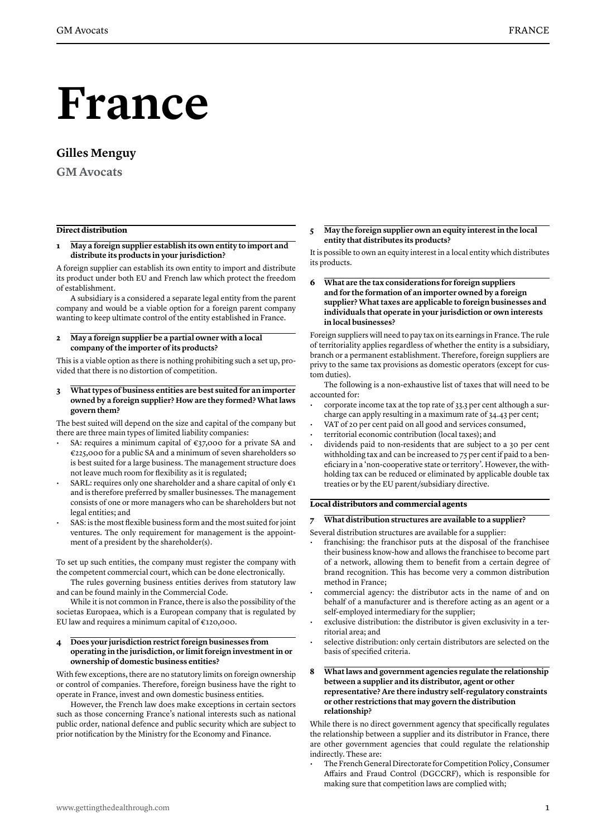# **France**

## **Gilles Menguy**

**GM Avocats**

#### **Direct distribution**

#### **1 May a foreign supplier establish its own entity to import and distribute its products in your jurisdiction?**

A foreign supplier can establish its own entity to import and distribute its product under both EU and French law which protect the freedom of establishment.

A subsidiary is a considered a separate legal entity from the parent company and would be a viable option for a foreign parent company wanting to keep ultimate control of the entity established in France.

**2 May a foreign supplier be a partial owner with a local company of the importer of its products?** 

This is a viable option as there is nothing prohibiting such a set up, provided that there is no distortion of competition.

**3 What types of business entities are best suited for an importer owned by a foreign supplier? How are they formed? What laws govern them?**

The best suited will depend on the size and capital of the company but there are three main types of limited liability companies:

- SA: requires a minimum capital of  $\epsilon$ 37,000 for a private SA and €225,000 for a public SA and a minimum of seven shareholders so is best suited for a large business. The management structure does not leave much room for flexibility as it is regulated;
- SARL: requires only one shareholder and a share capital of only  $\epsilon_1$ and is therefore preferred by smaller businesses. The management consists of one or more managers who can be shareholders but not legal entities; and
- SAS: is the most flexible business form and the most suited for joint ventures. The only requirement for management is the appointment of a president by the shareholder(s).

To set up such entities, the company must register the company with the competent commercial court, which can be done electronically.

The rules governing business entities derives from statutory law and can be found mainly in the Commercial Code.

While it is not common in France, there is also the possibility of the societas Europaea, which is a European company that is regulated by EU law and requires a minimum capital of  $\epsilon$ 120,000.

#### **4 Does your jurisdiction restrict foreign businesses from operating in the jurisdiction, or limit foreign investment in or ownership of domestic business entities?**

With few exceptions, there are no statutory limits on foreign ownership or control of companies. Therefore, foreign business have the right to operate in France, invest and own domestic business entities.

However, the French law does make exceptions in certain sectors such as those concerning France's national interests such as national public order, national defence and public security which are subject to prior notification by the Ministry for the Economy and Finance.

#### **5 May the foreign supplier own an equity interest in the local entity that distributes its products?**

It is possible to own an equity interest in a local entity which distributes its products.

**6 What are the tax considerations for foreign suppliers and for the formation of an importer owned by a foreign supplier? What taxes are applicable to foreign businesses and individuals that operate in your jurisdiction or own interests in local businesses?** 

Foreign suppliers will need to pay tax on its earnings in France. The rule of territoriality applies regardless of whether the entity is a subsidiary, branch or a permanent establishment. Therefore, foreign suppliers are privy to the same tax provisions as domestic operators (except for custom duties).

The following is a non-exhaustive list of taxes that will need to be accounted for:

- corporate income tax at the top rate of 33.3 per cent although a surcharge can apply resulting in a maximum rate of 34.43 per cent;
- VAT of 20 per cent paid on all good and services consumed,
- territorial economic contribution (local taxes); and
- dividends paid to non-residents that are subject to a 30 per cent withholding tax and can be increased to 75 per cent if paid to a beneficiary in a 'non-cooperative state or territory'. However, the withholding tax can be reduced or eliminated by applicable double tax treaties or by the EU parent/subsidiary directive.

#### **Local distributors and commercial agents**

**7 What distribution structures are available to a supplier?** 

Several distribution structures are available for a supplier:

- franchising: the franchisor puts at the disposal of the franchisee their business know-how and allows the franchisee to become part of a network, allowing them to benefit from a certain degree of brand recognition. This has become very a common distribution method in France;
- commercial agency: the distributor acts in the name of and on behalf of a manufacturer and is therefore acting as an agent or a self-employed intermediary for the supplier;
- exclusive distribution: the distributor is given exclusivity in a territorial area; and
- selective distribution: only certain distributors are selected on the basis of specified criteria.
- **8 What laws and government agencies regulate the relationship between a supplier and its distributor, agent or other representative? Are there industry self-regulatory constraints or other restrictions that may govern the distribution relationship?**

While there is no direct government agency that specifically regulates the relationship between a supplier and its distributor in France, there are other government agencies that could regulate the relationship indirectly. These are:

• The French General Directorate for Competition Policy , Consumer Affairs and Fraud Control (DGCCRF), which is responsible for making sure that competition laws are complied with;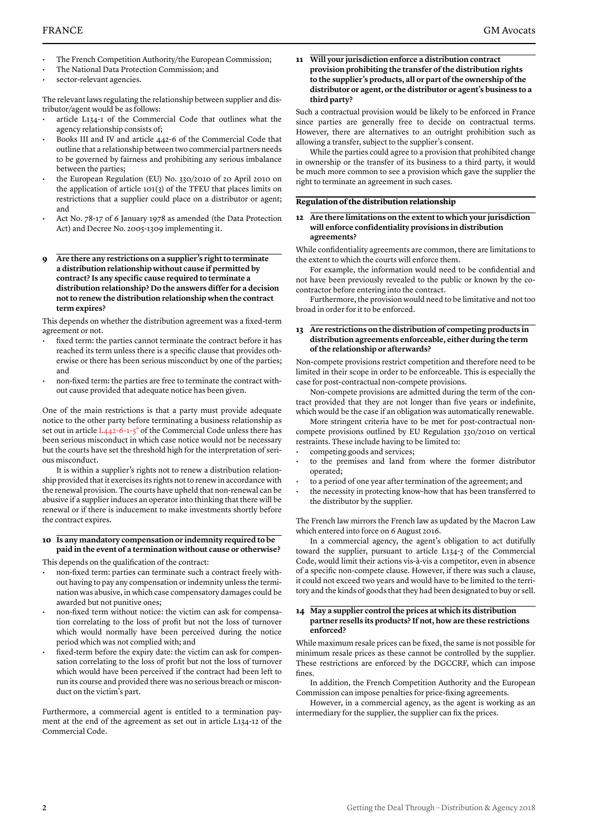- The French Competition Authority/the European Commission;
- The National Data Protection Commission; and
- sector-relevant agencies.

The relevant laws regulating the relationship between supplier and distributor/agent would be as follows:

- article L134-1 of the Commercial Code that outlines what the agency relationship consists of;
- Books III and IV and article 442-6 of the Commercial Code that outline that a relationship between two commercial partners needs to be governed by fairness and prohibiting any serious imbalance between the parties;
- the European Regulation (EU) No. 330/2010 of 20 April 2010 on the application of article 101(3) of the TFEU that places limits on restrictions that a supplier could place on a distributor or agent; and
- Act No. 78-17 of 6 January 1978 as amended (the Data Protection Act) and Decree No. 2005-1309 implementing it.
- **9 Are there any restrictions on a supplier's right to terminate a distribution relationship without cause if permitted by contract? Is any specific cause required to terminate a distribution relationship? Do the answers differ for a decision not to renew the distribution relationship when the contract term expires?**

This depends on whether the distribution agreement was a fixed-term agreement or not.

- fixed term: the parties cannot terminate the contract before it has reached its term unless there is a specific clause that provides otherwise or there has been serious misconduct by one of the parties; and
- non-fixed term: the parties are free to terminate the contract without cause provided that adequate notice has been given.

One of the main restrictions is that a party must provide adequate notice to the other party before terminating a business relationship as set out in article L442-6-1-5° of the Commercial Code unless there has been serious misconduct in which case notice would not be necessary but the courts have set the threshold high for the interpretation of serious misconduct.

It is within a supplier's rights not to renew a distribution relationship provided that it exercises its rights not to renew in accordance with the renewal provision. The courts have upheld that non-renewal can be abusive if a supplier induces an operator into thinking that there will be renewal or if there is inducement to make investments shortly before the contract expires.

### **10 Is any mandatory compensation or indemnity required to be paid in the event of a termination without cause or otherwise?**

This depends on the qualification of the contract:

- non-fixed term: parties can terminate such a contract freely without having to pay any compensation or indemnity unless the termination was abusive, in which case compensatory damages could be awarded but not punitive ones;
- non-fixed term without notice: the victim can ask for compensation correlating to the loss of profit but not the loss of turnover which would normally have been perceived during the notice period which was not complied with; and
- fixed-term before the expiry date: the victim can ask for compensation correlating to the loss of profit but not the loss of turnover which would have been perceived if the contract had been left to run its course and provided there was no serious breach or misconduct on the victim's part.

Furthermore, a commercial agent is entitled to a termination payment at the end of the agreement as set out in article L134-12 of the Commercial Code.

**11 Will your jurisdiction enforce a distribution contract provision prohibiting the transfer of the distribution rights to the supplier's products, all or part of the ownership of the distributor or agent, or the distributor or agent's business to a third party?**

Such a contractual provision would be likely to be enforced in France since parties are generally free to decide on contractual terms. However, there are alternatives to an outright prohibition such as allowing a transfer, subject to the supplier's consent.

While the parties could agree to a provision that prohibited change in ownership or the transfer of its business to a third party, it would be much more common to see a provision which gave the supplier the right to terminate an agreement in such cases.

#### **Regulation of the distribution relationship**

**12 Are there limitations on the extent to which your jurisdiction will enforce confidentiality provisions in distribution agreements?**

While confidentiality agreements are common, there are limitations to the extent to which the courts will enforce them.

For example, the information would need to be confidential and not have been previously revealed to the public or known by the cocontractor before entering into the contract.

Furthermore, the provision would need to be limitative and not too broad in order for it to be enforced.

#### **13 Are restrictions on the distribution of competing products in distribution agreements enforceable, either during the term of the relationship or afterwards?**

Non-compete provisions restrict competition and therefore need to be limited in their scope in order to be enforceable. This is especially the case for post-contractual non-compete provisions.

Non-compete provisions are admitted during the term of the contract provided that they are not longer than five years or indefinite, which would be the case if an obligation was automatically renewable.

More stringent criteria have to be met for post-contractual noncompete provisions outlined by EU Regulation 330/2010 on vertical restraints. These include having to be limited to:

- competing goods and services;
- to the premises and land from where the former distributor operated;
- to a period of one year after termination of the agreement; and
- the necessity in protecting know-how that has been transferred to the distributor by the supplier.

The French law mirrors the French law as updated by the Macron Law which entered into force on 6 August 2016.

In a commercial agency, the agent's obligation to act dutifully toward the supplier, pursuant to article L134-3 of the Commercial Code, would limit their actions vis-à-vis a competitor, even in absence of a specific non-compete clause. However, if there was such a clause, it could not exceed two years and would have to be limited to the territory and the kinds of goods that they had been designated to buy or sell.

#### **14 May a supplier control the prices at which its distribution partner resells its products? If not, how are these restrictions enforced?**

While maximum resale prices can be fixed, the same is not possible for minimum resale prices as these cannot be controlled by the supplier. These restrictions are enforced by the DGCCRF, which can impose fines.

In addition, the French Competition Authority and the European Commission can impose penalties for price-fixing agreements.

However, in a commercial agency, as the agent is working as an intermediary for the supplier, the supplier can fix the prices.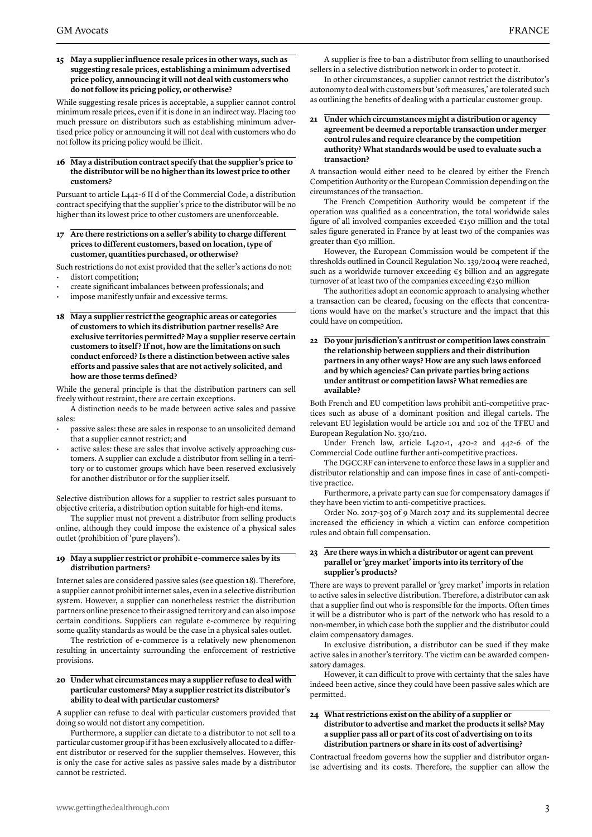#### **15 May a supplier influence resale prices in other ways, such as suggesting resale prices, establishing a minimum advertised price policy, announcing it will not deal with customers who do not follow its pricing policy, or otherwise?**

While suggesting resale prices is acceptable, a supplier cannot control minimum resale prices, even if it is done in an indirect way. Placing too much pressure on distributors such as establishing minimum advertised price policy or announcing it will not deal with customers who do not follow its pricing policy would be illicit.

#### **16 May a distribution contract specify that the supplier's price to the distributor will be no higher than its lowest price to other customers?**

Pursuant to article L442-6 II d of the Commercial Code, a distribution contract specifying that the supplier's price to the distributor will be no higher than its lowest price to other customers are unenforceable.

**17 Are there restrictions on a seller's ability to charge different prices to different customers, based on location, type of customer, quantities purchased, or otherwise?**

Such restrictions do not exist provided that the seller's actions do not: distort competition;

- create significant imbalances between professionals; and
- impose manifestly unfair and excessive terms.
- **18 May a supplier restrict the geographic areas or categories of customers to which its distribution partner resells? Are exclusive territories permitted? May a supplier reserve certain customers to itself ? If not, how are the limitations on such conduct enforced? Is there a distinction between active sales efforts and passive sales that are not actively solicited, and how are those terms defined?**

While the general principle is that the distribution partners can sell freely without restraint, there are certain exceptions.

A distinction needs to be made between active sales and passive sales:

- passive sales: these are sales in response to an unsolicited demand that a supplier cannot restrict; and
- active sales: these are sales that involve actively approaching customers. A supplier can exclude a distributor from selling in a territory or to customer groups which have been reserved exclusively for another distributor or for the supplier itself.

Selective distribution allows for a supplier to restrict sales pursuant to objective criteria, a distribution option suitable for high-end items.

The supplier must not prevent a distributor from selling products online, although they could impose the existence of a physical sales outlet (prohibition of 'pure players').

#### **19 May a supplier restrict or prohibit e-commerce sales by its distribution partners?**

Internet sales are considered passive sales (see question 18). Therefore, a supplier cannot prohibit internet sales, even in a selective distribution system. However, a supplier can nonetheless restrict the distribution partners online presence to their assigned territory and can also impose certain conditions. Suppliers can regulate e-commerce by requiring some quality standards as would be the case in a physical sales outlet.

The restriction of e-commerce is a relatively new phenomenon resulting in uncertainty surrounding the enforcement of restrictive provisions.

#### **20 Under what circumstances may a supplier refuse to deal with particular customers? May a supplier restrict its distributor's ability to deal with particular customers?**

A supplier can refuse to deal with particular customers provided that doing so would not distort any competition.

Furthermore, a supplier can dictate to a distributor to not sell to a particular customer group if it has been exclusively allocated to a different distributor or reserved for the supplier themselves. However, this is only the case for active sales as passive sales made by a distributor cannot be restricted.

A supplier is free to ban a distributor from selling to unauthorised sellers in a selective distribution network in order to protect it.

In other circumstances, a supplier cannot restrict the distributor's autonomy to deal with customers but 'soft measures,' are tolerated such as outlining the benefits of dealing with a particular customer group.

#### **21 Under which circumstances might a distribution or agency agreement be deemed a reportable transaction under merger control rules and require clearance by the competition authority? What standards would be used to evaluate such a transaction?**

A transaction would either need to be cleared by either the French Competition Authority or the European Commission depending on the circumstances of the transaction.

The French Competition Authority would be competent if the operation was qualified as a concentration, the total worldwide sales figure of all involved companies exceeded €150 million and the total sales figure generated in France by at least two of the companies was greater than €50 million.

However, the European Commission would be competent if the thresholds outlined in Council Regulation No. 139/2004 were reached, such as a worldwide turnover exceeding €5 billion and an aggregate turnover of at least two of the companies exceeding €250 million

The authorities adopt an economic approach to analysing whether a transaction can be cleared, focusing on the effects that concentrations would have on the market's structure and the impact that this could have on competition.

**22 Do your jurisdiction's antitrust or competition laws constrain the relationship between suppliers and their distribution partners in any other ways? How are any such laws enforced and by which agencies? Can private parties bring actions under antitrust or competition laws? What remedies are available?**

Both French and EU competition laws prohibit anti-competitive practices such as abuse of a dominant position and illegal cartels. The relevant EU legislation would be article 101 and 102 of the TFEU and European Regulation No. 330/210.

Under French law, article L420-1, 420-2 and 442-6 of the Commercial Code outline further anti-competitive practices.

The DGCCRF can intervene to enforce these laws in a supplier and distributor relationship and can impose fines in case of anti-competitive practice.

Furthermore, a private party can sue for compensatory damages if they have been victim to anti-competitive practices.

Order No. 2017-303 of 9 March 2017 and its supplemental decree increased the efficiency in which a victim can enforce competition rules and obtain full compensation.

#### **23 Are there ways in which a distributor or agent can prevent parallel or 'grey market' imports into its territory of the supplier's products?**

There are ways to prevent parallel or 'grey market' imports in relation to active sales in selective distribution. Therefore, a distributor can ask that a supplier find out who is responsible for the imports. Often times it will be a distributor who is part of the network who has resold to a non-member, in which case both the supplier and the distributor could claim compensatory damages.

In exclusive distribution, a distributor can be sued if they make active sales in another's territory. The victim can be awarded compensatory damages.

However, it can difficult to prove with certainty that the sales have indeed been active, since they could have been passive sales which are permitted.

#### **24 What restrictions exist on the ability of a supplier or distributor to advertise and market the products it sells? May a supplier pass all or part of its cost of advertising on to its distribution partners or share in its cost of advertising?**

Contractual freedom governs how the supplier and distributor organise advertising and its costs. Therefore, the supplier can allow the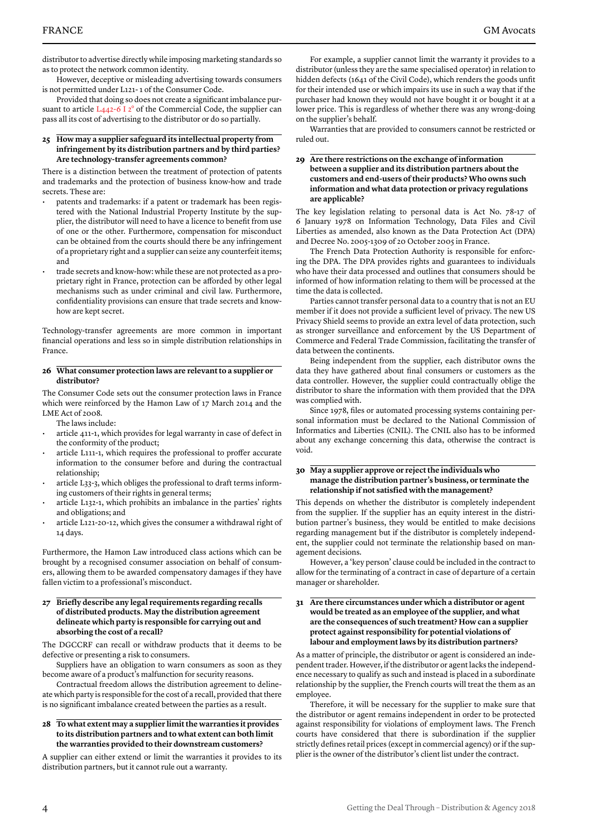distributor to advertise directly while imposing marketing standards so as to protect the network common identity.

However, deceptive or misleading advertising towards consumers is not permitted under L121- 1 of the Consumer Code.

Provided that doing so does not create a significant imbalance pursuant to article  $L_{442-6}$  I  $2^{\circ}$  of the Commercial Code, the supplier can pass all its cost of advertising to the distributor or do so partially.

#### **25 How may a supplier safeguard its intellectual property from infringement by its distribution partners and by third parties? Are technology-transfer agreements common?**

There is a distinction between the treatment of protection of patents and trademarks and the protection of business know-how and trade secrets. These are:

- patents and trademarks: if a patent or trademark has been registered with the National Industrial Property Institute by the supplier, the distributor will need to have a licence to benefit from use of one or the other. Furthermore, compensation for misconduct can be obtained from the courts should there be any infringement of a proprietary right and a supplier can seize any counterfeit items; and
- trade secrets and know-how: while these are not protected as a proprietary right in France, protection can be afforded by other legal mechanisms such as under criminal and civil law. Furthermore, confidentiality provisions can ensure that trade secrets and knowhow are kept secret.

Technology-transfer agreements are more common in important financial operations and less so in simple distribution relationships in France.

#### **26 What consumer protection laws are relevant to a supplier or distributor?**

The Consumer Code sets out the consumer protection laws in France which were reinforced by the Hamon Law of 17 March 2014 and the LME Act of 2008.

The laws include:

- article 411-1, which provides for legal warranty in case of defect in the conformity of the product;
- article L111-1, which requires the professional to proffer accurate information to the consumer before and during the contractual relationship;
- article L33-3, which obliges the professional to draft terms informing customers of their rights in general terms;
- article L132-1, which prohibits an imbalance in the parties' rights and obligations; and
- article L121-20-12, which gives the consumer a withdrawal right of 14 days.

Furthermore, the Hamon Law introduced class actions which can be brought by a recognised consumer association on behalf of consumers, allowing them to be awarded compensatory damages if they have fallen victim to a professional's misconduct.

#### **27 Briefly describe any legal requirements regarding recalls of distributed products. May the distribution agreement delineate which party is responsible for carrying out and absorbing the cost of a recall?**

The DGCCRF can recall or withdraw products that it deems to be defective or presenting a risk to consumers.

Suppliers have an obligation to warn consumers as soon as they become aware of a product's malfunction for security reasons.

Contractual freedom allows the distribution agreement to delineate which party is responsible for the cost of a recall, provided that there is no significant imbalance created between the parties as a result.

#### **28 To what extent may a supplier limit the warranties it provides to its distribution partners and to what extent can both limit the warranties provided to their downstream customers?**

A supplier can either extend or limit the warranties it provides to its distribution partners, but it cannot rule out a warranty.

For example, a supplier cannot limit the warranty it provides to a distributor (unless they are the same specialised operator) in relation to hidden defects (1641 of the Civil Code), which renders the goods unfit for their intended use or which impairs its use in such a way that if the purchaser had known they would not have bought it or bought it at a lower price. This is regardless of whether there was any wrong-doing on the supplier's behalf.

Warranties that are provided to consumers cannot be restricted or ruled out.

#### **29 Are there restrictions on the exchange of information between a supplier and its distribution partners about the customers and end-users of their products? Who owns such information and what data protection or privacy regulations are applicable?**

The key legislation relating to personal data is Act No. 78-17 of 6 January 1978 on Information Technology, Data Files and Civil Liberties as amended, also known as the Data Protection Act (DPA) and Decree No. 2005-1309 of 20 October 2005 in France.

The French Data Protection Authority is responsible for enforcing the DPA. The DPA provides rights and guarantees to individuals who have their data processed and outlines that consumers should be informed of how information relating to them will be processed at the time the data is collected.

Parties cannot transfer personal data to a country that is not an EU member if it does not provide a sufficient level of privacy. The new US Privacy Shield seems to provide an extra level of data protection, such as stronger surveillance and enforcement by the US Department of Commerce and Federal Trade Commission, facilitating the transfer of data between the continents.

Being independent from the supplier, each distributor owns the data they have gathered about final consumers or customers as the data controller. However, the supplier could contractually oblige the distributor to share the information with them provided that the DPA was complied with.

Since 1978, files or automated processing systems containing personal information must be declared to the National Commission of Informatics and Liberties (CNIL). The CNIL also has to be informed about any exchange concerning this data, otherwise the contract is void.

#### **30 May a supplier approve or reject the individuals who manage the distribution partner's business, or terminate the relationship if not satisfied with the management?**

This depends on whether the distributor is completely independent from the supplier. If the supplier has an equity interest in the distribution partner's business, they would be entitled to make decisions regarding management but if the distributor is completely independent, the supplier could not terminate the relationship based on management decisions.

However, a 'key person' clause could be included in the contract to allow for the terminating of a contract in case of departure of a certain manager or shareholder.

#### **31 Are there circumstances under which a distributor or agent would be treated as an employee of the supplier, and what are the consequences of such treatment? How can a supplier protect against responsibility for potential violations of labour and employment laws by its distribution partners?**

As a matter of principle, the distributor or agent is considered an independent trader. However, if the distributor or agent lacks the independence necessary to qualify as such and instead is placed in a subordinate relationship by the supplier, the French courts will treat the them as an employee.

Therefore, it will be necessary for the supplier to make sure that the distributor or agent remains independent in order to be protected against responsibility for violations of employment laws. The French courts have considered that there is subordination if the supplier strictly defines retail prices (except in commercial agency) or if the supplier is the owner of the distributor's client list under the contract.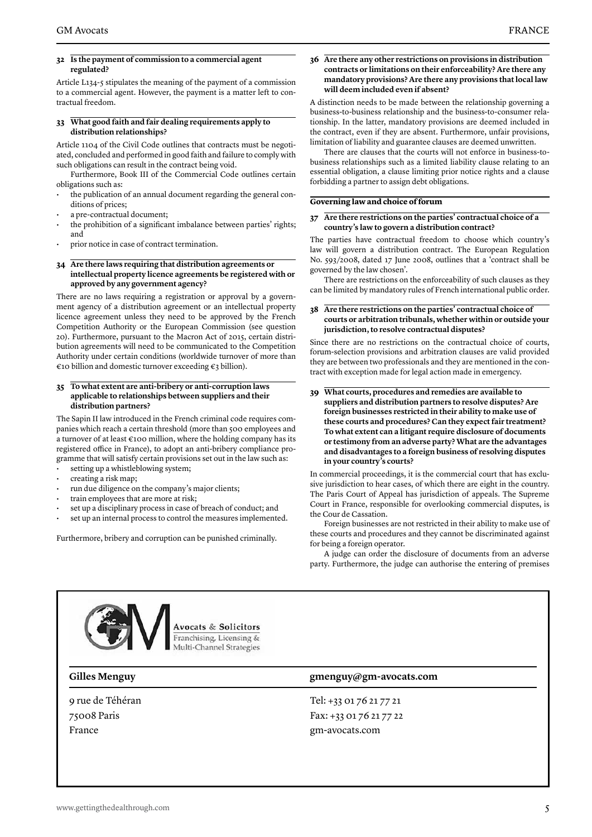Article L134-5 stipulates the meaning of the payment of a commission to a commercial agent. However, the payment is a matter left to contractual freedom.

#### **33 What good faith and fair dealing requirements apply to distribution relationships?**

Article 1104 of the Civil Code outlines that contracts must be negotiated, concluded and performed in good faith and failure to comply with such obligations can result in the contract being void.

Furthermore, Book III of the Commercial Code outlines certain obligations such as:

- the publication of an annual document regarding the general conditions of prices:
- a pre-contractual document;
- the prohibition of a significant imbalance between parties' rights; and
- prior notice in case of contract termination.

#### **34 Are there laws requiring that distribution agreements or intellectual property licence agreements be registered with or approved by any government agency?**

There are no laws requiring a registration or approval by a government agency of a distribution agreement or an intellectual property licence agreement unless they need to be approved by the French Competition Authority or the European Commission (see question 20). Furthermore, pursuant to the Macron Act of 2015, certain distribution agreements will need to be communicated to the Competition Authority under certain conditions (worldwide turnover of more than  $\epsilon$ 10 billion and domestic turnover exceeding  $\epsilon$ 3 billion).

#### **35 To what extent are anti-bribery or anti-corruption laws applicable to relationships between suppliers and their distribution partners?**

The Sapin II law introduced in the French criminal code requires companies which reach a certain threshold (more than 500 employees and a turnover of at least €100 million, where the holding company has its registered office in France), to adopt an anti-bribery compliance programme that will satisfy certain provisions set out in the law such as: setting up a whistleblowing system;

- creating a risk map;
- run due diligence on the company's major clients;
- train employees that are more at risk;
- set up a disciplinary process in case of breach of conduct; and
- set up an internal process to control the measures implemented.

Furthermore, bribery and corruption can be punished criminally.

#### **36 Are there any other restrictions on provisions in distribution contracts or limitations on their enforceability? Are there any mandatory provisions? Are there any provisions that local law will deem included even if absent?**

A distinction needs to be made between the relationship governing a business-to-business relationship and the business-to-consumer relationship. In the latter, mandatory provisions are deemed included in the contract, even if they are absent. Furthermore, unfair provisions, limitation of liability and guarantee clauses are deemed unwritten.

There are clauses that the courts will not enforce in business-tobusiness relationships such as a limited liability clause relating to an essential obligation, a clause limiting prior notice rights and a clause forbidding a partner to assign debt obligations.

#### **Governing law and choice of forum**

#### **37 Are there restrictions on the parties' contractual choice of a country's law to govern a distribution contract?**

The parties have contractual freedom to choose which country's law will govern a distribution contract. The European Regulation No. 593/2008, dated 17 June 2008, outlines that a 'contract shall be governed by the law chosen'.

There are restrictions on the enforceability of such clauses as they can be limited by mandatory rules of French international public order.

#### **38 Are there restrictions on the parties' contractual choice of courts or arbitration tribunals, whether within or outside your jurisdiction, to resolve contractual disputes?**

Since there are no restrictions on the contractual choice of courts, forum-selection provisions and arbitration clauses are valid provided they are between two professionals and they are mentioned in the contract with exception made for legal action made in emergency.

**39 What courts, procedures and remedies are available to suppliers and distribution partners to resolve disputes? Are foreign businesses restricted in their ability to make use of these courts and procedures? Can they expect fair treatment? To what extent can a litigant require disclosure of documents or testimony from an adverse party? What are the advantages and disadvantages to a foreign business of resolving disputes in your country's courts?** 

In commercial proceedings, it is the commercial court that has exclusive jurisdiction to hear cases, of which there are eight in the country. The Paris Court of Appeal has jurisdiction of appeals. The Supreme Court in France, responsible for overlooking commercial disputes, is the Cour de Cassation.

Foreign businesses are not restricted in their ability to make use of these courts and procedures and they cannot be discriminated against for being a foreign operator.

A judge can order the disclosure of documents from an adverse party. Furthermore, the judge can authorise the entering of premises



9 rue de Téhéran 75008 Paris France

#### **Gilles Menguy gmenguy@gm-avocats.com**

Tel: +33 01 76 21 77 21 Fax: +33 01 76 21 77 22 gm-avocats.com